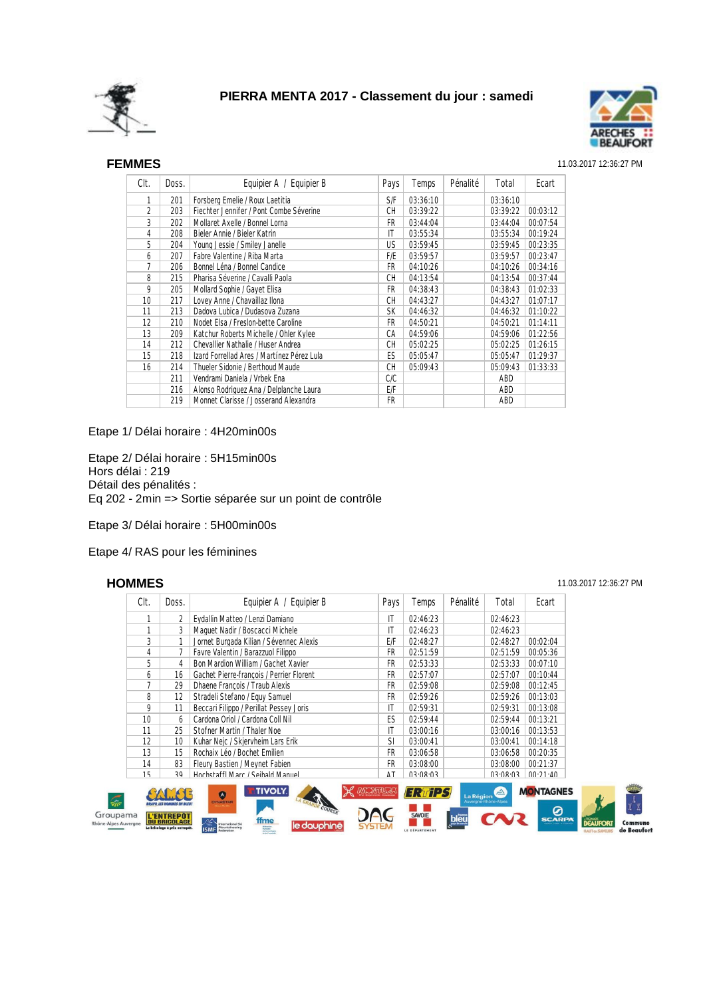



### SEF **FEMMES** 11.03.2017 12:36:27 PM

| Clt.            | Doss. | Equipier A / Equipier B                    | Pays      | Temps    | Pénalité | Total    | Ecart    |
|-----------------|-------|--------------------------------------------|-----------|----------|----------|----------|----------|
| 1               | 201   | Forsberg Emelie / Roux Laetitia            | S/F       | 03:36:10 |          | 03:36:10 |          |
| 2               | 203   | Fiechter Jennifer / Pont Combe Séverine    | <b>CH</b> | 03:39:22 |          | 03:39:22 | 00:03:12 |
| 3               | 202   | Mollaret Axelle / Bonnel Lorna             | FR.       | 03:44:04 |          | 03:44:04 | 00:07:54 |
| 4               | 208   | Bieler Annie / Bieler Katrin               | IT        | 03:55:34 |          | 03:55:34 | 00:19:24 |
| 5               | 204   | Young Jessie / Smiley Janelle              | US.       | 03:59:45 |          | 03:59:45 | 00:23:35 |
| 6               | 207   | Fabre Valentine / Riba Marta               | F/E       | 03:59:57 |          | 03:59:57 | 00:23:47 |
| 7               | 206   | Bonnel Léna / Bonnel Candice               | FR        | 04:10:26 |          | 04:10:26 | 00:34:16 |
| 8               | 215   | Pharisa Séverine / Cavalli Paola           | CН        | 04:13:54 |          | 04:13:54 | 00:37:44 |
| 9               | 205   | Mollard Sophie / Gayet Elisa               | FR        | 04:38:43 |          | 04:38:43 | 01:02:33 |
| 10 <sup>1</sup> | 217   | Lovey Anne / Chavaillaz Ilona              | СH        | 04:43:27 |          | 04:43:27 | 01:07:17 |
| 11              | 213   | Dadova Lubica / Dudasova Zuzana            | <b>SK</b> | 04:46:32 |          | 04:46:32 | 01:10:22 |
| 12              | 210   | Nodet Elsa / Freslon-bette Caroline        | FR.       | 04:50:21 |          | 04:50:21 | 01:14:11 |
| 13              | 209   | Katchur Roberts Michelle / Ohler Kylee     | CА        | 04:59:06 |          | 04:59:06 | 01:22:56 |
| 14              | 212   | Chevallier Nathalie / Huser Andrea         | <b>CH</b> | 05:02:25 |          | 05:02:25 | 01:26:15 |
| 15              | 218   | Izard Forrellad Ares / Martínez Pérez Lula | ES.       | 05:05:47 |          | 05:05:47 | 01:29:37 |
| 16              | 214   | Thueler Sidonie / Berthoud Maude           | <b>CH</b> | 05:09:43 |          | 05:09:43 | 01:33:33 |
|                 | 211   | Vendrami Daniela / Vrbek Ena               | C/C       |          |          | ABD      |          |
|                 | 216   | Alonso Rodriguez Ana / Delplanche Laura    | E/F       |          |          | ABD      |          |
|                 | 219   | Monnet Clarisse / Josserand Alexandra      | FR        |          |          | ABD      |          |

### Etape 1/ Délai horaire : 4H20min00s

Etape 2/ Délai horaire : 5H15min00s Hors délai : 219 Détail des pénalités : Eq 202 - 2min => Sortie séparée sur un point de contrôle

Etape 3/ Délai horaire : 5H00min00s

Etape 4/ RAS pour les féminines

Groupama Rhône-Alpes Auvergne

SEH **HOMMES** 11.03.2017 12:36:27 PM

Comn

|                               | Clt. | Doss.                                                                     | Equipier A / Equipier B                                                                                                                                                | Pays | Temps                                     | Pénalité                                  | Total                | Ecart                                  |  |
|-------------------------------|------|---------------------------------------------------------------------------|------------------------------------------------------------------------------------------------------------------------------------------------------------------------|------|-------------------------------------------|-------------------------------------------|----------------------|----------------------------------------|--|
|                               |      | 2                                                                         | Eydallin Matteo / Lenzi Damiano                                                                                                                                        | IT   | 02:46:23                                  |                                           | 02:46:23             |                                        |  |
|                               |      | 3                                                                         | Maquet Nadir / Boscacci Michele                                                                                                                                        | IT   | 02:46:23                                  |                                           | 02:46:23             |                                        |  |
|                               | 3    |                                                                           | Jornet Burgada Kilian / Sévennec Alexis                                                                                                                                | E/F  | 02:48:27                                  |                                           | 02:48:27             | 00:02:04                               |  |
|                               | 4    |                                                                           | Favre Valentin / Barazzuol Filippo                                                                                                                                     | FR   | 02:51:59                                  |                                           | 02:51:59             | 00:05:36                               |  |
|                               | 5    | 4                                                                         | Bon Mardion William / Gachet Xavier                                                                                                                                    | FR   | 02:53:33                                  |                                           | 02:53:33             | 00:07:10                               |  |
|                               | 6    | 16                                                                        | Gachet Pierre-françois / Perrier Florent                                                                                                                               | FR   | 02:57:07                                  |                                           | 02:57:07             | 00:10:44                               |  |
|                               |      | 29                                                                        | Dhaene Francois / Traub Alexis                                                                                                                                         | FR   | 02:59:08                                  |                                           | 02:59:08             | 00:12:45                               |  |
|                               | 8    | 12                                                                        | Stradeli Stefano / Equy Samuel                                                                                                                                         | FR   | 02:59:26                                  |                                           | 02:59:26             | 00:13:03                               |  |
|                               | 9    | 11                                                                        | Beccari Filippo / Perillat Pessey Joris                                                                                                                                | IT   | 02:59:31                                  |                                           | 02:59:31             | 00:13:08                               |  |
|                               | 10   | 6                                                                         | Cardona Oriol / Cardona Coll Nil                                                                                                                                       | ES   | 02:59:44                                  |                                           | 02:59:44             | 00:13:21                               |  |
|                               | 11   | 25                                                                        | Stofner Martin / Thaler Noe                                                                                                                                            | IT   | 03:00:16                                  |                                           | 03:00:16             | 00:13:53                               |  |
|                               | 12   | 10                                                                        | Kuhar Nejc / Skjervheim Lars Erik                                                                                                                                      | SI   | 03:00:41                                  |                                           | 03:00:41             | 00:14:18                               |  |
|                               | 13   | 15                                                                        | Rochaix Léo / Bochet Emilien                                                                                                                                           | FR   | 03:06:58                                  |                                           | 03:06:58             | 00:20:35                               |  |
|                               | 14   | 83                                                                        | Fleury Bastien / Meynet Fabien                                                                                                                                         | FR   | 03:08:00                                  |                                           | 03:08:00             | 00:21:37                               |  |
|                               | 15   | 30                                                                        | Hochstaffl Marc / Seihald Manuel                                                                                                                                       | ΔT   | <b>U3.U8.U3</b>                           |                                           | $U3\cdot U8\cdot U3$ | $00.21 \cdot \Delta$                   |  |
| 幂<br>pupama<br>Alpes Auvergne |      | <b>L'ENTREPOT</b><br><b>DU BRICOLAGE</b><br>Le bricolage à prix entrepôt. | <b>TIVOLY.</b><br><b>MACINTURAL</b><br>Ø<br><b>DYNASTAR</b><br>COURSE.<br>ffme<br>le dauphinë<br>International Sk<br>Mountaineering<br><b>Bungalor</b><br>de la montag |      | ERTIPS<br><b>SAVOIE</b><br>LE DÉPARTEMENT | La Région<br>Auverane-Rhône-Alper<br>hleï | $\Delta$             | <b>MONTAGNES</b><br>0<br><b>SCARPA</b> |  |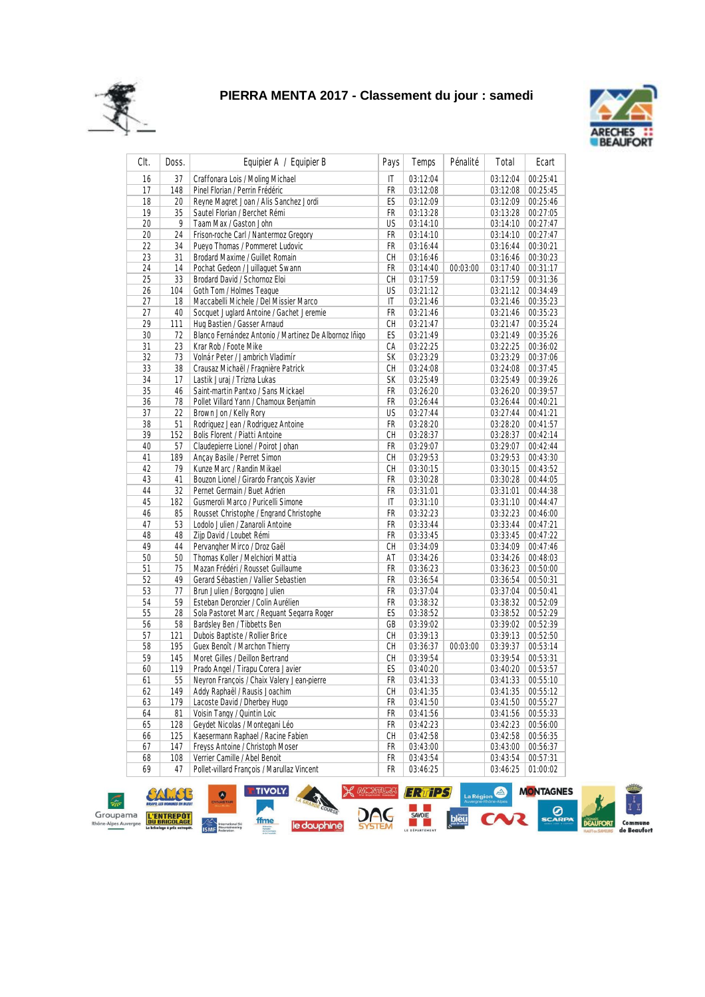



| CIt. | Doss. | Equipier A / Equipier B                               | Pays | Temps    | Pénalité | Total                | Ecart    |
|------|-------|-------------------------------------------------------|------|----------|----------|----------------------|----------|
| 16   | 37    | Craffonara Lois / Moling Michael                      | IT   | 03:12:04 |          | 03:12:04             | 00:25:41 |
| 17   | 148   | Pinel Florian / Perrin Frédéric                       | FR   | 03:12:08 |          | 03:12:08             | 00:25:45 |
| 18   | 20    | Reyne Magret Joan / Alis Sanchez Jordi                | ES   | 03:12:09 |          | 03:12:09             | 00:25:46 |
| 19   | 35    | Sautel Florian / Berchet Rémi                         | FR   | 03:13:28 |          | 03:13:28             | 00:27:05 |
| 20   | 9     | Taam Max / Gaston John                                | US   | 03:14:10 |          | 03:14:10             | 00:27:47 |
| 20   | 24    | Frison-roche Carl / Nantermoz Gregory                 | FR   | 03:14:10 |          | 03:14:10             | 00:27:47 |
| 22   | 34    | Pueyo Thomas / Pommeret Ludovic                       | FR   | 03:16:44 |          | 03:16:44             | 00:30:21 |
| 23   | 31    | Brodard Maxime / Guillet Romain                       | CH   | 03:16:46 |          | 03:16:46             | 00:30:23 |
| 24   | 14    | Pochat Gedeon / Juillaquet Swann                      | FR   | 03:14:40 | 00:03:00 | 03:17:40             | 00:31:17 |
| 25   | 33    | Brodard David / Schornoz Eloi                         | СH   | 03:17:59 |          | 03:17:59             | 00:31:36 |
| 26   | 104   | Goth Tom / Holmes Teaque                              | US   | 03:21:12 |          | 03:21:12             | 00:34:49 |
| 27   | 18    | Maccabelli Michele / Del Missier Marco                | IT   | 03:21:46 |          | 03:21:46             | 00:35:23 |
| 27   | 40    | Socquet Juglard Antoine / Gachet Jeremie              | FR   | 03:21:46 |          | 03:21:46             | 00:35:23 |
| 29   | 111   | Hug Bastien / Gasser Arnaud                           | CH   | 03:21:47 |          | 03:21:47             | 00:35:24 |
| 30   | 72    | Blanco Fernández Antonio / Martinez De Albornoz Iñigo | ES   | 03:21:49 |          | 03:21:49             | 00:35:26 |
| 31   | 23    | Krar Rob / Foote Mike                                 | СA   | 03:22:25 |          | 03:22:25             | 00:36:02 |
| 32   | 73    | Volnár Peter / Jambrich Vladimír                      | SK   | 03:23:29 |          | 03:23:29             | 00:37:06 |
| 33   | 38    | Crausaz Michaël / Fragnière Patrick                   | СH   | 03:24:08 |          | 03:24:08             | 00:37:45 |
| 34   | 17    | Lastik Juraj / Trizna Lukas                           | SК   | 03:25:49 |          | 03:25:49             | 00:39:26 |
| 35   | 46    | Saint-martin Pantxo / Sans Mickael                    | FR   | 03:26:20 |          | 03:26:20             | 00:39:57 |
| 36   | 78    | Pollet Villard Yann / Chamoux Benjamin                | FR   | 03:26:44 |          | 03:26:44             | 00:40:21 |
| 37   | 22    | Brown Jon / Kelly Rory                                | US   | 03:27:44 |          | 03:27:44             | 00:41:21 |
| 38   | 51    | Rodriguez Jean / Rodriguez Antoine                    | FR   | 03:28:20 |          | 03:28:20             | 00:41:57 |
| 39   | 152   | <b>Bolis Florent / Piatti Antoine</b>                 | СH   | 03:28:37 |          | 03:28:37             | 00:42:14 |
| 40   | 57    | Claudepierre Lionel / Poirot Johan                    | FR   | 03:29:07 |          | 03:29:07             | 00:42:44 |
| 41   | 189   | Ançay Basile / Perret Simon                           | CH   | 03:29:53 |          | 03:29:53             | 00:43:30 |
| 42   | 79    | Kunze Marc / Randin Mikael                            | CH   | 03:30:15 |          | 03:30:15             | 00:43:52 |
| 43   | 41    | Bouzon Lionel / Girardo François Xavier               | FR   | 03:30:28 |          |                      | 00:44:05 |
| 44   | 32    | Pernet Germain / Buet Adrien                          | FR   | 03:31:01 |          | 03:30:28<br>03:31:01 | 00:44:38 |
| 45   | 182   | Gusmeroli Marco / Puricelli Simone                    | IT   | 03:31:10 |          | 03:31:10             | 00:44:47 |
| 46   | 85    | Rousset Christophe / Engrand Christophe               | FR   | 03:32:23 |          | 03:32:23             | 00:46:00 |
| 47   | 53    | Lodolo Julien / Zanaroli Antoine                      | FR   | 03:33:44 |          | 03:33:44             | 00:47:21 |
| 48   | 48    | Zijp David / Loubet Rémi                              | FR   | 03:33:45 |          | 03:33:45             | 00:47:22 |
| 49   | 44    | Pervangher Mirco / Droz Gaël                          | СH   | 03:34:09 |          | 03:34:09             | 00:47:46 |
| 50   | 50    | Thomas Koller / Melchiori Mattia                      | AT   | 03:34:26 |          | 03:34:26             | 00:48:03 |
| 51   | 75    | Mazan Frédéri / Rousset Guillaume                     | FR   | 03:36:23 |          | 03:36:23             | 00:50:00 |
| 52   | 49    | Gerard Sébastien / Vallier Sebastien                  | FR   | 03:36:54 |          | 03:36:54             | 00:50:31 |
| 53   | 77    | Brun Julien / Borgogno Julien                         | FR   | 03:37:04 |          | 03:37:04             | 00:50:41 |
| 54   | 59    | Esteban Deronzier / Colin Aurélien                    | FR   | 03:38:32 |          | 03:38:32             | 00:52:09 |
| 55   | 28    | Sola Pastoret Marc / Requant Segarra Roger            | ES   | 03:38:52 |          | 03:38:52             | 00:52:29 |
| 56   | 58    | Bardsley Ben / Tibbetts Ben                           | GB   | 03:39:02 |          | 03:39:02             | 00:52:39 |
| 57   | 121   | Dubois Baptiste / Rollier Brice                       | CH   | 03:39:13 |          | 03:39:13             | 00:52:50 |
| 58   | 195   |                                                       | CH   | 03:36:37 |          | 03:39:37             | 00:53:14 |
|      |       | Guex Benoît / Marchon Thierry                         | CH   |          | 00:03:00 |                      |          |
| 59   | 145   | Moret Gilles / Deillon Bertrand                       |      | 03:39:54 |          | 03:39:54             | 00:53:31 |
| 60   | 119   | Prado Angel / Tirapu Corera Javier                    | ES   | 03:40:20 |          | 03:40:20             | 00:53:57 |
| 61   | 55    | Neyron François / Chaix Valery Jean-pierre            | FR   | 03:41:33 |          | 03:41:33             | 00:55:10 |
| 62   | 149   | Addy Raphaël / Rausis Joachim                         | СH   | 03:41:35 |          | 03:41:35             | 00:55:12 |
| 63   | 179   | Lacoste David / Dherbey Hugo                          | FR   | 03:41:50 |          | 03:41:50             | 00:55:27 |
| 64   | 81    | Voisin Tangy / Quintin Loic                           | FR   | 03:41:56 |          | 03:41:56             | 00:55:33 |
| 65   | 128   | Geydet Nicolas / Montegani Léo                        | FR   | 03:42:23 |          | 03:42:23             | 00:56:00 |
| 66   | 125   | Kaesermann Raphael / Racine Fabien                    | СH   | 03:42:58 |          | 03:42:58             | 00:56:35 |
| 67   | 147   | Freyss Antoine / Christoph Moser                      | FR   | 03:43:00 |          | 03:43:00             | 00:56:37 |
| 68   | 108   | Verrier Camille / Abel Benoit                         | FR   | 03:43:54 |          | 03:43:54             | 00:57:31 |
| 69   | 47    | Pollet-villard François / Marullaz Vincent            | FR   | 03:46:25 |          | 03:46:25             | 01:00:02 |

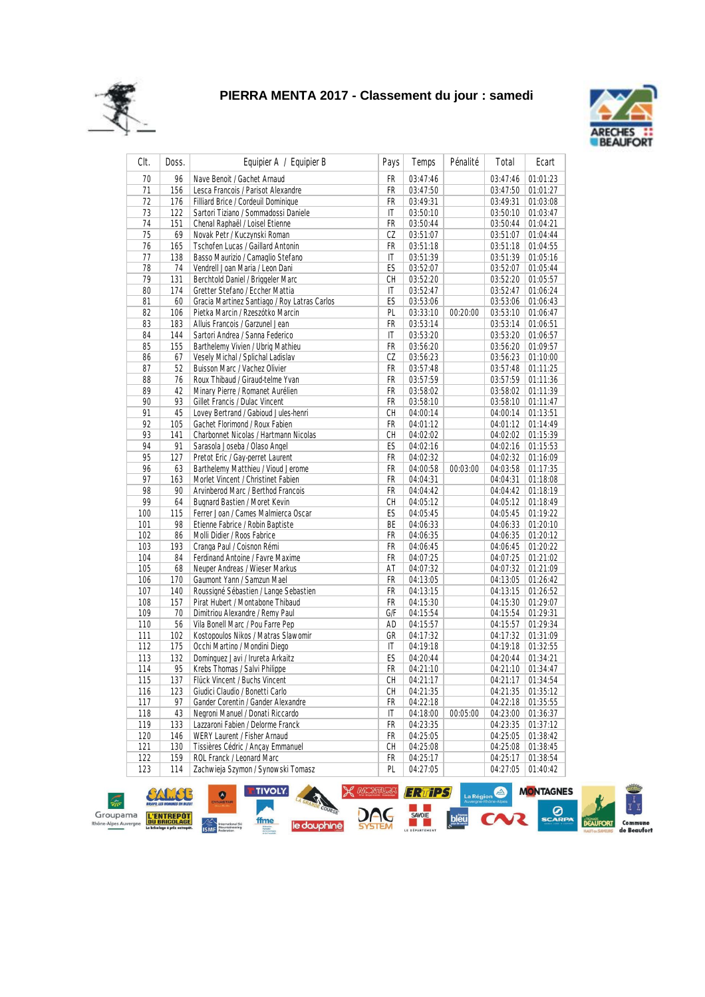



| CIt. | Doss. | Equipier A / Equipier B                      | Pays | Temps    | Pénalité | Total    | Ecart    |
|------|-------|----------------------------------------------|------|----------|----------|----------|----------|
| 70   | 96    | Nave Benoit / Gachet Arnaud                  | FR   | 03:47:46 |          | 03:47:46 | 01:01:23 |
| 71   | 156   | Lesca Francois / Parisot Alexandre           | FR   | 03:47:50 |          | 03:47:50 | 01:01:27 |
| 72   | 176   | Filliard Brice / Cordeuil Dominique          | FR   | 03:49:31 |          | 03:49:31 | 01:03:08 |
| 73   | 122   | Sartori Tiziano / Sommadossi Daniele         | IT   | 03:50:10 |          | 03:50:10 | 01:03:47 |
| 74   | 151   | Chenal Raphaël / Loisel Etienne              | FR   | 03:50:44 |          | 03:50:44 | 01:04:21 |
| 75   | 69    | Novak Petr / Kuczynski Roman                 | CZ   | 03:51:07 |          | 03:51:07 | 01:04:44 |
| 76   | 165   | Tschofen Lucas / Gaillard Antonin            | FR   | 03:51:18 |          | 03:51:18 | 01:04:55 |
| 77   | 138   | Basso Maurizio / Camaglio Stefano            | IT   | 03:51:39 |          | 03:51:39 | 01:05:16 |
| 78   | 74    | Vendrell Joan Maria / Leon Dani              | ES   | 03:52:07 |          | 03:52:07 | 01:05:44 |
| 79   | 131   | Berchtold Daniel / Briggeler Marc            | СH   | 03:52:20 |          | 03:52:20 | 01:05:57 |
| 80   | 174   | Gretter Stefano / Eccher Mattia              | IT   | 03:52:47 |          | 03:52:47 | 01:06:24 |
| 81   | 60    | Gracia Martinez Santiago / Roy Latras Carlos | ES   | 03:53:06 |          | 03:53:06 | 01:06:43 |
| 82   | 106   | Pietka Marcin / Rzeszótko Marcin             | PL   | 03:33:10 | 00:20:00 | 03:53:10 | 01:06:47 |
| 83   | 183   | Alluis Francois / Garzunel Jean              | FR   | 03:53:14 |          | 03:53:14 | 01:06:51 |
| 84   | 144   | Sartori Andrea / Sanna Federico              | IT   | 03:53:20 |          | 03:53:20 | 01:06:57 |
| 85   | 155   | Barthelemy Vivien / Ubrig Mathieu            | FR   | 03:56:20 |          | 03:56:20 | 01:09:57 |
| 86   | 67    | Vesely Michal / Splichal Ladislav            | CZ   | 03:56:23 |          | 03:56:23 | 01:10:00 |
| 87   | 52    | Buisson Marc / Vachez Olivier                | FR   | 03:57:48 |          | 03:57:48 | 01:11:25 |
| 88   | 76    | Roux Thibaud / Giraud-telme Yvan             | FR   | 03:57:59 |          | 03:57:59 | 01:11:36 |
| 89   | 42    | Minary Pierre / Romanet Aurélien             | FR   | 03:58:02 |          | 03:58:02 | 01:11:39 |
| 90   | 93    | Gillet Francis / Dulac Vincent               | FR   | 03:58:10 |          | 03:58:10 | 01:11:47 |
| 91   | 45    | Lovey Bertrand / Gabioud Jules-henri         | СH   | 04:00:14 |          | 04:00:14 | 01:13:51 |
| 92   | 105   | Gachet Florimond / Roux Fabien               | FR   | 04:01:12 |          | 04:01:12 | 01:14:49 |
| 93   | 141   | Charbonnet Nicolas / Hartmann Nicolas        | СH   | 04:02:02 |          | 04:02:02 | 01:15:39 |
| 94   | 91    | Sarasola Joseba / Olaso Angel                | ES   | 04:02:16 |          | 04:02:16 | 01:15:53 |
| 95   | 127   | Pretot Eric / Gay-perret Laurent             | FR   | 04:02:32 |          | 04:02:32 | 01:16:09 |
| 96   | 63    | Barthelemy Matthieu / Vioud Jerome           | FR   | 04:00:58 | 00:03:00 | 04:03:58 | 01:17:35 |
| 97   | 163   | Morlet Vincent / Christinet Fabien           | FR   | 04:04:31 |          | 04:04:31 | 01:18:08 |
| 98   | 90    | Arvinberod Marc / Berthod Francois           | FR   | 04:04:42 |          | 04:04:42 | 01:18:19 |
| 99   | 64    | <b>Bugnard Bastien / Moret Kevin</b>         | СH   | 04:05:12 |          | 04:05:12 | 01:18:49 |
| 100  | 115   | Ferrer Joan / Cames Malmierca Oscar          | ES   | 04:05:45 |          | 04:05:45 | 01:19:22 |
| 101  | 98    | Etienne Fabrice / Robin Baptiste             | BE   | 04:06:33 |          | 04:06:33 | 01:20:10 |
| 102  | 86    | Molli Didier / Roos Fabrice                  | FR   | 04:06:35 |          | 04:06:35 | 01:20:12 |
| 103  | 193   | Cranga Paul / Coisnon Rémi                   | FR   | 04:06:45 |          | 04:06:45 | 01:20:22 |
| 104  | 84    | Ferdinand Antoine / Favre Maxime             | FR   | 04:07:25 |          | 04:07:25 | 01:21:02 |
| 105  | 68    | Neuper Andreas / Wieser Markus               | AT   | 04:07:32 |          | 04:07:32 | 01:21:09 |
| 106  | 170   | Gaumont Yann / Samzun Mael                   | FR   | 04:13:05 |          | 04:13:05 | 01:26:42 |
| 107  | 140   | Roussigné Sébastien / Lange Sebastien        | FR   | 04:13:15 |          | 04:13:15 | 01:26:52 |
| 108  | 157   | Pirat Hubert / Montabone Thibaud             | FR   | 04:15:30 |          | 04:15:30 | 01:29:07 |
| 109  | 70    | Dimitriou Alexandre / Remy Paul              | G/F  | 04:15:54 |          | 04:15:54 | 01:29:31 |
| 110  | 56    | Vila Bonell Marc / Pou Farre Pep             | AD   | 04:15:57 |          | 04:15:57 | 01:29:34 |
| 111  | 102   | Kostopoulos Nikos / Matras Slawomir          | GR   | 04:17:32 |          | 04:17:32 | 01:31:09 |
| 112  | 175   | Occhi Martino / Mondini Diego                | IT   | 04:19:18 |          | 04:19:18 | 01:32:55 |
| 113  | 132   | Dominguez Javi / Irureta Arkaitz             | ES   | 04:20:44 |          | 04:20:44 | 01:34:21 |
| 114  | 95    | Krebs Thomas / Salvi Philippe                | FR   | 04:21:10 |          | 04:21:10 | 01:34:47 |
| 115  | 137   | Flück Vincent / Buchs Vincent                | СH   | 04:21:17 |          | 04:21:17 | 01:34:54 |
| 116  | 123   | Giudici Claudio / Bonetti Carlo              | СH   | 04:21:35 |          | 04:21:35 | 01:35:12 |
| 117  | 97    | Gander Corentin / Gander Alexandre           | FR   | 04:22:18 |          | 04:22:18 | 01:35:55 |
| 118  | 43    | Negroni Manuel / Donati Riccardo             | IT   | 04:18:00 | 00:05:00 | 04:23:00 | 01:36:37 |
| 119  | 133   | Lazzaroni Fabien / Delorme Franck            | FR   | 04:23:35 |          | 04:23:35 | 01:37:12 |
| 120  | 146   | WERY Laurent / Fisher Arnaud                 | FR   | 04:25:05 |          | 04:25:05 | 01:38:42 |
| 121  | 130   | Tissières Cédric / Ancay Emmanuel            | СH   | 04:25:08 |          | 04:25:08 | 01:38:45 |
| 122  | 159   | ROL Franck / Leonard Marc                    | FR   | 04:25:17 |          | 04:25:17 | 01:38:54 |
| 123  | 114   | Zachwieja Szymon / Synowski Tomasz           | PL   | 04:27:05 |          | 04:27:05 | 01:40:42 |

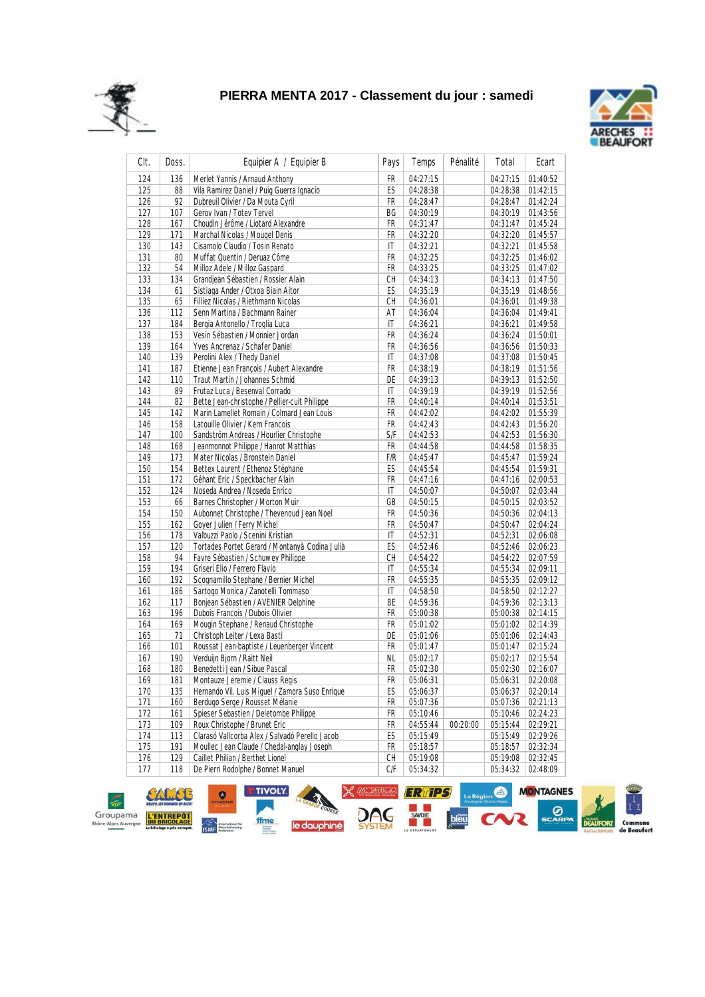



| CIt.       | Doss.     | Equipier A / Equipier B                                           | Pays       | Temps                | Pénalité | Total                | Ecart    |
|------------|-----------|-------------------------------------------------------------------|------------|----------------------|----------|----------------------|----------|
| 124        | 136       | Merlet Yannis / Arnaud Anthony                                    | <b>FR</b>  | 04:27:15             |          | 04:27:15             | 01:40:52 |
| 125        | 88        | Vila Ramirez Daniel / Puig Guerra Ignacio                         | ES         | 04:28:38             |          | 04:28:38             | 01:42:15 |
| 126        | 92        | Dubreuil Olivier / Da Mouta Cyril                                 | FR         | 04:28:47             |          | 04:28:47             | 01:42:24 |
| 127        | 107       | Gerov Ivan / Totev Tervel                                         | ВG         | 04:30:19             |          | 04:30:19             | 01:43:56 |
| 128        | 167       | Choudin Jérôme / Liotard Alexandre                                | FR         | 04:31:47             |          | 04:31:47             | 01:45:24 |
| 129        | 171       | Marchal Nicolas / Mougel Denis                                    | FR         | 04:32:20             |          | 04:32:20             | 01:45:57 |
| 130        | 143       | Cisamolo Claudio / Tosin Renato                                   | IT         | 04:32:21             |          | 04:32:21             | 01:45:58 |
| 131        | 80        | Muffat Quentin / Deruaz Côme                                      | FR         | 04:32:25             |          | 04:32:25             | 01:46:02 |
| 132        | 54        | Milloz Adele / Milloz Gaspard                                     | FR         | 04:33:25             |          | 04:33:25             | 01:47:02 |
| 133        | 134       | Grandjean Sébastien / Rossier Alain                               | CH         | 04:34:13             |          | 04:34:13             | 01:47:50 |
| 134        | 61        | Sistiaga Ander / Otxoa Biain Aitor                                | ES         | 04:35:19             |          | 04:35:19             | 01:48:56 |
| 135        | 65        | Filliez Nicolas / Riethmann Nicolas                               | CH         | 04:36:01             |          | 04:36:01             | 01:49:38 |
| 136        | 112       | Senn Martina / Bachmann Rainer                                    | AT         | 04:36:04             |          | 04:36:04             | 01:49:41 |
| 137        | 184       | Bergia Antonello / Troglia Luca                                   | IT         | 04:36:21             |          | 04:36:21             | 01:49:58 |
| 138        | 153       | Vesin Sébastien / Monnier Jordan                                  | FR         | 04:36:24             |          | 04:36:24             | 01:50:01 |
| 139        | 164       | Yves Ancrenaz / Schafer Daniel                                    | FR         | 04:36:56             |          | 04:36:56             | 01:50:33 |
| 140        | 139       | Perolini Alex / Thedy Daniel                                      | IT         | 04:37:08             |          | 04:37:08             | 01:50:45 |
| 141        | 187       | Etienne Jean François / Aubert Alexandre                          | FR         | 04:38:19             |          | 04:38:19             | 01:51:56 |
| 142        | 110       | Traut Martin / Johannes Schmid                                    | DE         | 04:39:13             |          | 04:39:13             | 01:52:50 |
| 143        | 89        | Frutaz Luca / Besenval Corrado                                    | IT         | 04:39:19             |          | 04:39:19             | 01:52:56 |
| 144        | 82        | Bette Jean-christophe / Pellier-cuit Philippe                     | FR         | 04:40:14             |          | 04:40:14             | 01:53:51 |
| 145        | 142       | Marin Lamellet Romain / Colmard Jean Louis                        | FR         | 04:42:02             |          | 04:42:02             | 01:55:39 |
| 146        | 158       | Latouille Olivier / Kern Francois                                 | FR         | 04:42:43             |          | 04:42:43             | 01:56:20 |
| 147        | 100       | Sandström Andreas / Hourlier Christophe                           | <b>S/F</b> | 04:42:53             |          | 04:42:53             | 01:56:30 |
| 148        | 168       | Jeanmonnot Philippe / Hanrot Matthias                             | FR         | 04:44:58             |          | 04:44:58             | 01:58:35 |
| 149        | 173       | Mater Nicolas / Bronstein Daniel                                  | F/R        | 04:45:47             |          | 04:45:47             | 01:59:24 |
| 150        | 154       | Bettex Laurent / Ethenoz Stéphane                                 | ES         | 04:45:54             |          | 04:45:54             | 01:59:31 |
| 151        | 172       | Géhant Eric / Speckbacher Alain                                   | FR         | 04:47:16             |          | 04:47:16             | 02:00:53 |
|            |           |                                                                   | IT         |                      |          |                      |          |
| 152<br>153 | 124       | Noseda Andrea / Noseda Enrico<br>Barnes Christopher / Morton Muir | GB         | 04:50:07<br>04:50:15 |          | 04:50:07<br>04:50:15 | 02:03:44 |
| 154        | 66<br>150 | Aubonnet Christophe / Thevenoud Jean Noel                         | FR         |                      |          | 04:50:36             | 02:03:52 |
|            |           | Goyer Julien / Ferry Michel                                       | FR         | 04:50:36             |          |                      | 02:04:13 |
| 155        | 162       | Valbuzzi Paolo / Scenini Kristian                                 |            | 04:50:47             |          | 04:50:47             | 02:04:24 |
| 156        | 178       |                                                                   | IT         | 04:52:31             |          | 04:52:31             | 02:06:08 |
| 157        | 120       | Tortades Portet Gerard / Montanyà Codina Julià                    | ES         | 04:52:46             |          | 04:52:46             | 02:06:23 |
| 158        | 94        | Favre Sébastien / Schuwey Philippe                                | СH         | 04:54:22             |          | 04:54:22             | 02:07:59 |
| 159        | 194       | Griseri Elio / Ferrero Flavio                                     | IT         | 04:55:34             |          | 04:55:34             | 02:09:11 |
| 160        | 192       | Scognamillo Stephane / Bernier Michel                             | FR         | 04:55:35             |          | 04:55:35             | 02:09:12 |
| 161        | 186       | Sartogo Monica / Zanotelli Tommaso                                | IT         | 04:58:50             |          | 04:58:50             | 02:12:27 |
| 162        | 117       | Bonjean Sébastien / AVENIER Delphine                              | ВE         | 04:59:36             |          | 04:59:36             | 02:13:13 |
| 163        | 196       | Dubois Francois / Dubois Olivier                                  | FR         | 05:00:38             |          | 05:00:38             | 02:14:15 |
| 164        | 169       | Mougin Stephane / Renaud Christophe                               | FR         | 05:01:02             |          | 05:01:02             | 02:14:39 |
| 165        | 71        | Christoph Leiter / Lexa Basti                                     | DE         | 05:01:06             |          | 05:01:06             | 02:14:43 |
| 166        | 101       | Roussat Jean-baptiste / Leuenberger Vincent                       | FR         | 05:01:47             |          | 05:01:47             | 02:15:24 |
| 167        | 190       | Verduijn Bjorn / Raitt Neil                                       | NL         | 05:02:17             |          | 05:02:17             | 02:15:54 |
| 168        | 180       | Benedetti Jean / Sibue Pascal                                     | FR         | 05:02:30             |          | 05:02:30             | 02:16:07 |
| 169        | 181       | Montauze Jeremie / Clauss Regis                                   | FR         | 05:06:31             |          | 05:06:31             | 02:20:08 |
| 170        | 135       | Hernando Vil. Luis Miquel / Zamora Suso Enrique                   | ES         | 05:06:37             |          | 05:06:37             | 02:20:14 |
| 171        | 160       | Berdugo Serge / Rousset Mélanie                                   | FR         | 05:07:36             |          | 05:07:36             | 02:21:13 |
| 172        | 161       | Spieser Sebastien / Deletombe Philippe                            | FR         | 05:10:46             |          | 05:10:46             | 02:24:23 |
| 173        | 109       | Roux Christophe / Brunet Eric                                     | FR         | 04:55:44             | 00:20:00 | 05:15:44             | 02:29:21 |
| 174        | 113       | Clarasó Vallcorba Alex / Salvadó Perello Jacob                    | ES         | 05:15:49             |          | 05:15:49             | 02:29:26 |
| 175        | 191       | Moullec Jean Claude / Chedal-anglay Joseph                        | FR         | 05:18:57             |          | 05:18:57             | 02:32:34 |
| 176        | 129       | Caillet Philian / Berthet Lionel                                  | СH         | 05:19:08             |          | 05:19:08             | 02:32:45 |
| 177        | 118       | De Pierri Rodolphe / Bonnet Manuel                                | C/F        | 05:34:32             |          | 05:34:32             | 02:48:09 |